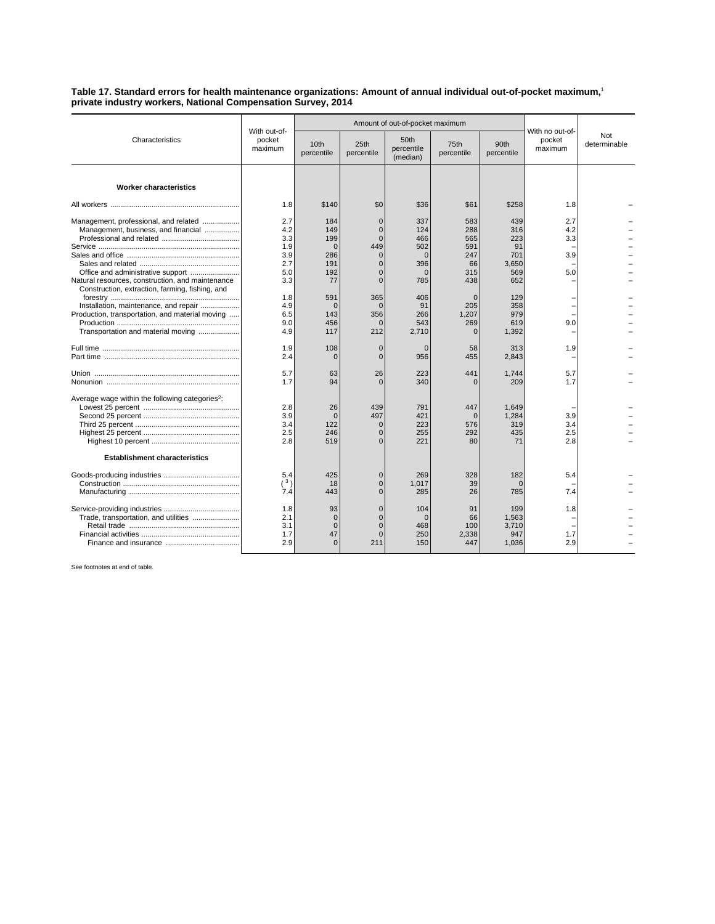## **Table 17. Standard errors for health maintenance organizations: Amount of annual individual out-of-pocket maximum,**<sup>1</sup> **private industry workers, National Compensation Survey, 2014**

| Characteristics                                                                                                                | With out-of-<br>pocket<br>maximum      |                                                       | Amount of out-of-pocket maximum                                          |                                             |                                                |                                         |                                      |                     |
|--------------------------------------------------------------------------------------------------------------------------------|----------------------------------------|-------------------------------------------------------|--------------------------------------------------------------------------|---------------------------------------------|------------------------------------------------|-----------------------------------------|--------------------------------------|---------------------|
|                                                                                                                                |                                        | 10 <sub>th</sub><br>percentile                        | 25th<br>percentile                                                       | 50th<br>percentile<br>(median)              | 75th<br>percentile                             | 90th<br>percentile                      | With no out-of-<br>pocket<br>maximum | Not<br>determinable |
| <b>Worker characteristics</b>                                                                                                  |                                        |                                                       |                                                                          |                                             |                                                |                                         |                                      |                     |
|                                                                                                                                | 1.8                                    | \$140                                                 | \$0                                                                      | \$36                                        | \$61                                           | \$258                                   | 1.8                                  |                     |
| Management, professional, and related<br>Management, business, and financial                                                   | 2.7<br>4.2<br>3.3<br>1.9<br>3.9<br>2.7 | 184<br>149<br>199<br>$\mathbf 0$<br>286<br>191        | $\mathbf 0$<br>$\mathbf 0$<br>$\Omega$<br>449<br>$\mathbf 0$<br>$\Omega$ | 337<br>124<br>466<br>502<br>$\Omega$<br>396 | 583<br>288<br>565<br>591<br>247<br>66          | 439<br>316<br>223<br>91<br>701<br>3.650 | 2.7<br>4.2<br>3.3<br>3.9             |                     |
| Natural resources, construction, and maintenance<br>Construction, extraction, farming, fishing, and                            | 5.0<br>3.3                             | 192<br>77                                             | $\mathbf 0$<br>$\Omega$                                                  | $\mathbf 0$<br>785                          | 315<br>438                                     | 569<br>652                              | 5.0                                  |                     |
| Installation, maintenance, and repair<br>Production, transportation, and material moving<br>Transportation and material moving | 1.8<br>4.9<br>6.5<br>9.0<br>4.9        | 591<br>$\mathbf 0$<br>143<br>456<br>117               | 365<br>$\Omega$<br>356<br>$\Omega$<br>212                                | 406<br>91<br>266<br>543<br>2,710            | $\Omega$<br>205<br>1,207<br>269<br>$\mathbf 0$ | 129<br>358<br>979<br>619<br>1,392       | 9.0                                  |                     |
|                                                                                                                                | 1.9<br>2.4                             | 108<br>$\Omega$                                       | $\mathbf 0$<br>$\mathbf 0$                                               | $\Omega$<br>956                             | 58<br>455                                      | 313<br>2,843                            | 1.9                                  |                     |
|                                                                                                                                | 5.7<br>1.7                             | 63<br>94                                              | 26<br>$\Omega$                                                           | 223<br>340                                  | 441<br>$\Omega$                                | 1,744<br>209                            | 5.7<br>1.7                           |                     |
| Average wage within the following categories <sup>2</sup> :                                                                    | 2.8<br>3.9<br>3.4<br>2.5<br>2.8        | 26<br>$\overline{0}$<br>122<br>246<br>519             | 439<br>497<br>$\mathbf 0$<br>$\Omega$<br>$\Omega$                        | 791<br>421<br>223<br>255<br>221             | 447<br>$\Omega$<br>576<br>292<br>80            | 1.649<br>1.284<br>319<br>435<br>71      | 3.9<br>3.4<br>2.5<br>2.8             |                     |
| <b>Establishment characteristics</b>                                                                                           |                                        |                                                       |                                                                          |                                             |                                                |                                         |                                      |                     |
|                                                                                                                                | 5.4<br>$(^3)$<br>7.4                   | 425<br>18<br>443                                      | $\mathbf 0$<br>$\mathbf 0$<br>$\Omega$                                   | 269<br>1,017<br>285                         | 328<br>39<br>26                                | 182<br>$\Omega$<br>785                  | 5.4<br>7.4                           |                     |
|                                                                                                                                | 1.8<br>2.1<br>3.1<br>1.7<br>2.9        | 93<br>$\mathbf 0$<br>$\overline{0}$<br>47<br>$\Omega$ | $\Omega$<br>$\Omega$<br>$\overline{0}$<br>$\overline{0}$<br>211          | 104<br>$\Omega$<br>468<br>250<br>150        | 91<br>66<br>100<br>2,338<br>447                | 199<br>1,563<br>3,710<br>947<br>1,036   | 1.8<br>1.7<br>2.9                    |                     |

See footnotes at end of table.